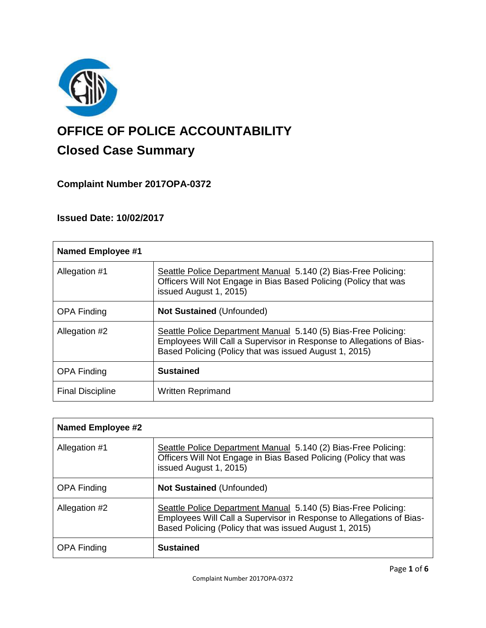

# **OFFICE OF POLICE ACCOUNTABILITY**

# **Closed Case Summary**

## **Complaint Number 2017OPA-0372**

### **Issued Date: 10/02/2017**

| <b>Named Employee #1</b> |                                                                                                                                                                                                  |
|--------------------------|--------------------------------------------------------------------------------------------------------------------------------------------------------------------------------------------------|
| Allegation #1            | Seattle Police Department Manual 5.140 (2) Bias-Free Policing:<br>Officers Will Not Engage in Bias Based Policing (Policy that was<br>issued August 1, 2015)                                     |
| <b>OPA Finding</b>       | <b>Not Sustained (Unfounded)</b>                                                                                                                                                                 |
| Allegation #2            | Seattle Police Department Manual 5.140 (5) Bias-Free Policing:<br>Employees Will Call a Supervisor in Response to Allegations of Bias-<br>Based Policing (Policy that was issued August 1, 2015) |
| <b>OPA Finding</b>       | <b>Sustained</b>                                                                                                                                                                                 |
| <b>Final Discipline</b>  | <b>Written Reprimand</b>                                                                                                                                                                         |

| <b>Named Employee #2</b> |                                                                                                                                                                                                  |
|--------------------------|--------------------------------------------------------------------------------------------------------------------------------------------------------------------------------------------------|
| Allegation #1            | Seattle Police Department Manual 5.140 (2) Bias-Free Policing:<br>Officers Will Not Engage in Bias Based Policing (Policy that was<br>issued August 1, 2015)                                     |
| <b>OPA Finding</b>       | <b>Not Sustained (Unfounded)</b>                                                                                                                                                                 |
| Allegation #2            | Seattle Police Department Manual 5.140 (5) Bias-Free Policing:<br>Employees Will Call a Supervisor in Response to Allegations of Bias-<br>Based Policing (Policy that was issued August 1, 2015) |
| <b>OPA Finding</b>       | <b>Sustained</b>                                                                                                                                                                                 |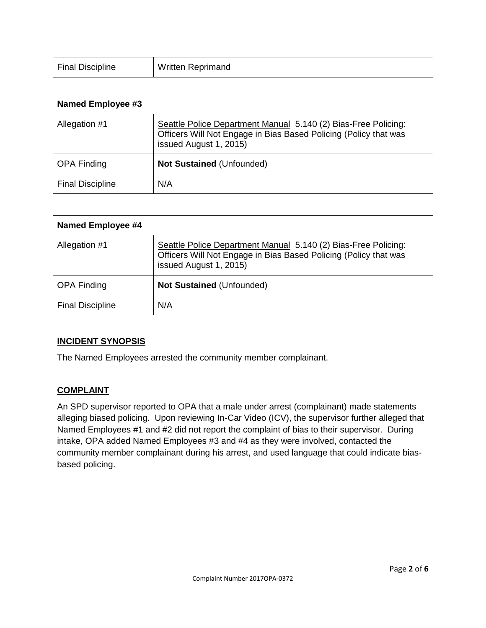| <b>Final Discipline</b> | <b>Written Reprimand</b> |
|-------------------------|--------------------------|
|                         |                          |

| Named Employee #3       |                                                                                                                                                              |
|-------------------------|--------------------------------------------------------------------------------------------------------------------------------------------------------------|
| Allegation #1           | Seattle Police Department Manual 5.140 (2) Bias-Free Policing:<br>Officers Will Not Engage in Bias Based Policing (Policy that was<br>issued August 1, 2015) |
| <b>OPA Finding</b>      | <b>Not Sustained (Unfounded)</b>                                                                                                                             |
| <b>Final Discipline</b> | N/A                                                                                                                                                          |

| <b>Named Employee #4</b> |                                                                                                                                                              |
|--------------------------|--------------------------------------------------------------------------------------------------------------------------------------------------------------|
| Allegation #1            | Seattle Police Department Manual 5.140 (2) Bias-Free Policing:<br>Officers Will Not Engage in Bias Based Policing (Policy that was<br>issued August 1, 2015) |
| <b>OPA Finding</b>       | <b>Not Sustained (Unfounded)</b>                                                                                                                             |
| <b>Final Discipline</b>  | N/A                                                                                                                                                          |

#### **INCIDENT SYNOPSIS**

The Named Employees arrested the community member complainant.

#### **COMPLAINT**

An SPD supervisor reported to OPA that a male under arrest (complainant) made statements alleging biased policing. Upon reviewing In-Car Video (ICV), the supervisor further alleged that Named Employees #1 and #2 did not report the complaint of bias to their supervisor. During intake, OPA added Named Employees #3 and #4 as they were involved, contacted the community member complainant during his arrest, and used language that could indicate biasbased policing.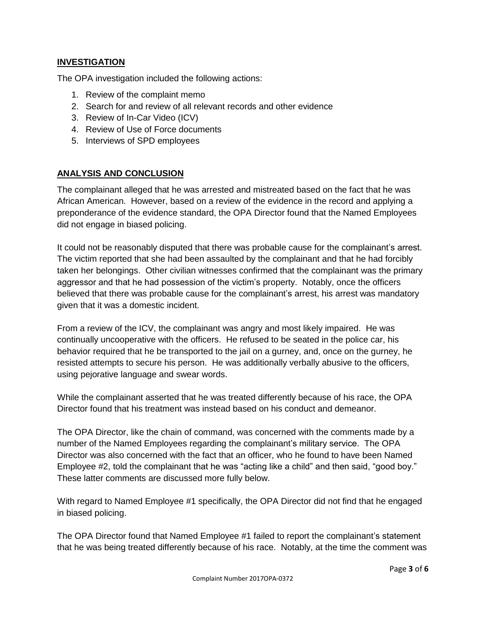#### **INVESTIGATION**

The OPA investigation included the following actions:

- 1. Review of the complaint memo
- 2. Search for and review of all relevant records and other evidence
- 3. Review of In-Car Video (ICV)
- 4. Review of Use of Force documents
- 5. Interviews of SPD employees

#### **ANALYSIS AND CONCLUSION**

The complainant alleged that he was arrested and mistreated based on the fact that he was African American. However, based on a review of the evidence in the record and applying a preponderance of the evidence standard, the OPA Director found that the Named Employees did not engage in biased policing.

It could not be reasonably disputed that there was probable cause for the complainant's arrest. The victim reported that she had been assaulted by the complainant and that he had forcibly taken her belongings. Other civilian witnesses confirmed that the complainant was the primary aggressor and that he had possession of the victim's property. Notably, once the officers believed that there was probable cause for the complainant's arrest, his arrest was mandatory given that it was a domestic incident.

From a review of the ICV, the complainant was angry and most likely impaired. He was continually uncooperative with the officers. He refused to be seated in the police car, his behavior required that he be transported to the jail on a gurney, and, once on the gurney, he resisted attempts to secure his person. He was additionally verbally abusive to the officers, using pejorative language and swear words.

While the complainant asserted that he was treated differently because of his race, the OPA Director found that his treatment was instead based on his conduct and demeanor.

The OPA Director, like the chain of command, was concerned with the comments made by a number of the Named Employees regarding the complainant's military service. The OPA Director was also concerned with the fact that an officer, who he found to have been Named Employee #2, told the complainant that he was "acting like a child" and then said, "good boy." These latter comments are discussed more fully below.

With regard to Named Employee #1 specifically, the OPA Director did not find that he engaged in biased policing.

The OPA Director found that Named Employee #1 failed to report the complainant's statement that he was being treated differently because of his race. Notably, at the time the comment was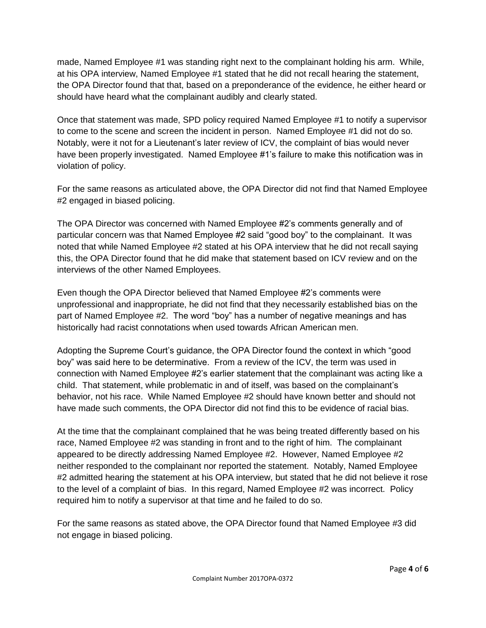made, Named Employee #1 was standing right next to the complainant holding his arm. While, at his OPA interview, Named Employee #1 stated that he did not recall hearing the statement, the OPA Director found that that, based on a preponderance of the evidence, he either heard or should have heard what the complainant audibly and clearly stated.

Once that statement was made, SPD policy required Named Employee #1 to notify a supervisor to come to the scene and screen the incident in person. Named Employee #1 did not do so. Notably, were it not for a Lieutenant's later review of ICV, the complaint of bias would never have been properly investigated. Named Employee #1's failure to make this notification was in violation of policy.

For the same reasons as articulated above, the OPA Director did not find that Named Employee #2 engaged in biased policing.

The OPA Director was concerned with Named Employee #2's comments generally and of particular concern was that Named Employee #2 said "good boy" to the complainant. It was noted that while Named Employee #2 stated at his OPA interview that he did not recall saying this, the OPA Director found that he did make that statement based on ICV review and on the interviews of the other Named Employees.

Even though the OPA Director believed that Named Employee #2's comments were unprofessional and inappropriate, he did not find that they necessarily established bias on the part of Named Employee #2. The word "boy" has a number of negative meanings and has historically had racist connotations when used towards African American men.

Adopting the Supreme Court's guidance, the OPA Director found the context in which "good boy" was said here to be determinative. From a review of the ICV, the term was used in connection with Named Employee #2's earlier statement that the complainant was acting like a child. That statement, while problematic in and of itself, was based on the complainant's behavior, not his race. While Named Employee #2 should have known better and should not have made such comments, the OPA Director did not find this to be evidence of racial bias.

At the time that the complainant complained that he was being treated differently based on his race, Named Employee #2 was standing in front and to the right of him. The complainant appeared to be directly addressing Named Employee #2. However, Named Employee #2 neither responded to the complainant nor reported the statement. Notably, Named Employee #2 admitted hearing the statement at his OPA interview, but stated that he did not believe it rose to the level of a complaint of bias. In this regard, Named Employee #2 was incorrect. Policy required him to notify a supervisor at that time and he failed to do so.

For the same reasons as stated above, the OPA Director found that Named Employee #3 did not engage in biased policing.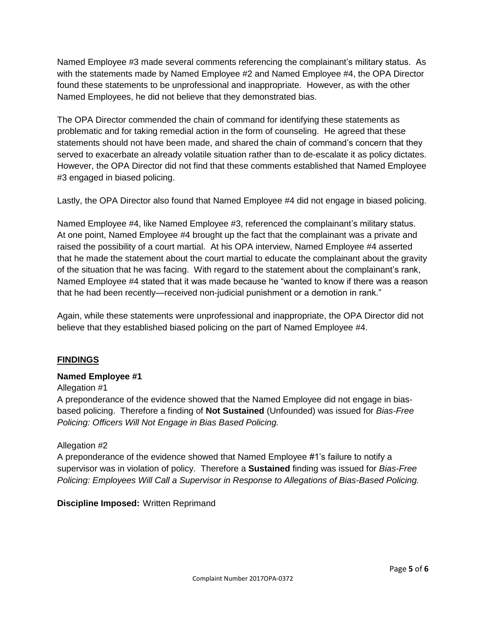Named Employee #3 made several comments referencing the complainant's military status. As with the statements made by Named Employee #2 and Named Employee #4, the OPA Director found these statements to be unprofessional and inappropriate. However, as with the other Named Employees, he did not believe that they demonstrated bias.

The OPA Director commended the chain of command for identifying these statements as problematic and for taking remedial action in the form of counseling. He agreed that these statements should not have been made, and shared the chain of command's concern that they served to exacerbate an already volatile situation rather than to de-escalate it as policy dictates. However, the OPA Director did not find that these comments established that Named Employee #3 engaged in biased policing.

Lastly, the OPA Director also found that Named Employee #4 did not engage in biased policing.

Named Employee #4, like Named Employee #3, referenced the complainant's military status. At one point, Named Employee #4 brought up the fact that the complainant was a private and raised the possibility of a court martial. At his OPA interview, Named Employee #4 asserted that he made the statement about the court martial to educate the complainant about the gravity of the situation that he was facing. With regard to the statement about the complainant's rank, Named Employee #4 stated that it was made because he "wanted to know if there was a reason that he had been recently—received non-judicial punishment or a demotion in rank."

Again, while these statements were unprofessional and inappropriate, the OPA Director did not believe that they established biased policing on the part of Named Employee #4.

#### **FINDINGS**

#### **Named Employee #1**

#### Allegation #1

A preponderance of the evidence showed that the Named Employee did not engage in biasbased policing. Therefore a finding of **Not Sustained** (Unfounded) was issued for *Bias-Free Policing: Officers Will Not Engage in Bias Based Policing.*

#### Allegation #2

A preponderance of the evidence showed that Named Employee #1's failure to notify a supervisor was in violation of policy. Therefore a **Sustained** finding was issued for *Bias-Free Policing: Employees Will Call a Supervisor in Response to Allegations of Bias-Based Policing.*

#### **Discipline Imposed:** Written Reprimand